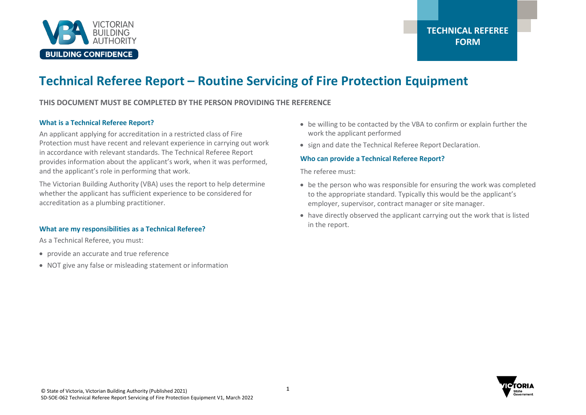

# **Technical Referee Report – Routine Servicing of Fire Protection Equipment**

### **THIS DOCUMENT MUST BE COMPLETED BY THE PERSON PROVIDING THE REFERENCE**

#### **What is a Technical Referee Report?**

An applicant applying for accreditation in a restricted class of Fire Protection must have recent and relevant experience in carrying out work in accordance with relevant standards. The Technical Referee Report provides information about the applicant's work, when it was performed, and the applicant's role in performing that work.

The Victorian Building Authority (VBA) uses the report to help determine whether the applicant has sufficient experience to be considered for accreditation as a plumbing practitioner.

#### **What are my responsibilities as a Technical Referee?**

As a Technical Referee, you must:

- provide an accurate and true reference
- NOT give any false or misleading statement or information
- be willing to be contacted by the VBA to confirm or explain further the work the applicant performed
- sign and date the Technical Referee Report Declaration.

#### **Who can provide a Technical Referee Report?**

The referee must:

- be the person who was responsible for ensuring the work was completed to the appropriate standard. Typically this would be the applicant's employer, supervisor, contract manager or site manager.
- have directly observed the applicant carrying out the work that is listed in the report.

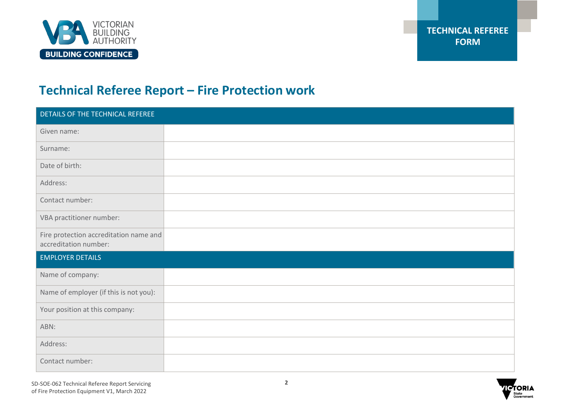

# **Technical Referee Report – Fire Protection work**

| DETAILS OF THE TECHNICAL REFEREE                                |  |
|-----------------------------------------------------------------|--|
| Given name:                                                     |  |
| Surname:                                                        |  |
| Date of birth:                                                  |  |
| Address:                                                        |  |
| Contact number:                                                 |  |
| VBA practitioner number:                                        |  |
| Fire protection accreditation name and<br>accreditation number: |  |
| <b>EMPLOYER DETAILS</b>                                         |  |
| Name of company:                                                |  |
| Name of employer (if this is not you):                          |  |
| Your position at this company:                                  |  |
| ABN:                                                            |  |
| Address:                                                        |  |
| Contact number:                                                 |  |

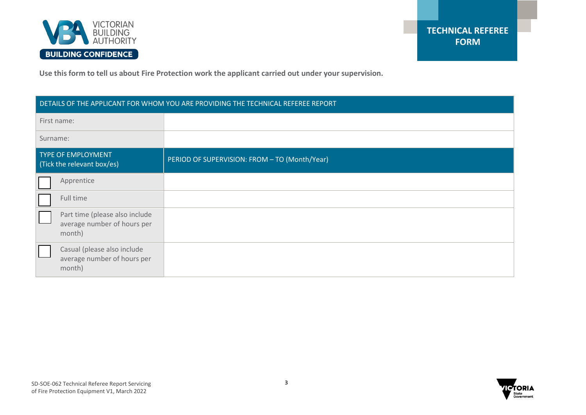

**Use this form to tell us about Fire Protection work the applicant carried out under your supervision.**

| DETAILS OF THE APPLICANT FOR WHOM YOU ARE PROVIDING THE TECHNICAL REFEREE REPORT |                                                                         |                                               |  |
|----------------------------------------------------------------------------------|-------------------------------------------------------------------------|-----------------------------------------------|--|
| First name:                                                                      |                                                                         |                                               |  |
| Surname:                                                                         |                                                                         |                                               |  |
| <b>TYPE OF EMPLOYMENT</b><br>(Tick the relevant box/es)                          |                                                                         | PERIOD OF SUPERVISION: FROM - TO (Month/Year) |  |
|                                                                                  | Apprentice                                                              |                                               |  |
|                                                                                  | Full time                                                               |                                               |  |
|                                                                                  | Part time (please also include<br>average number of hours per<br>month) |                                               |  |
|                                                                                  | Casual (please also include<br>average number of hours per<br>month)    |                                               |  |

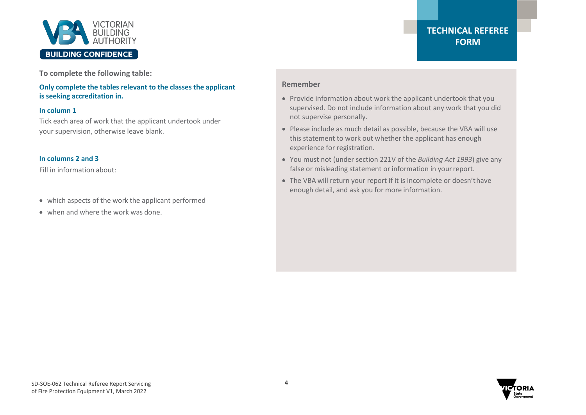

**To complete the following table:**

**Only complete the tables relevant to the classes the applicant is seeking accreditation in.**

#### **In column 1**

Tick each area of work that the applicant undertook under your supervision, otherwise leave blank.

#### **In columns 2 and 3**

Fill in information about:

- which aspects of the work the applicant performed
- when and where the work was done.

### **TECHNICAL REFEREE FORM**

#### **Remember**

- Provide information about work the applicant undertook that you supervised. Do not include information about any work that you did not supervise personally.
- Please include as much detail as possible, because the VBA will use this statement to work out whether the applicant has enough experience for registration.
- You must not (under section 221V of the *Building Act 1993*) give any false or misleading statement or information in yourreport.
- The VBA will return your report if it is incomplete or doesn'thave enough detail, and ask you for more information.

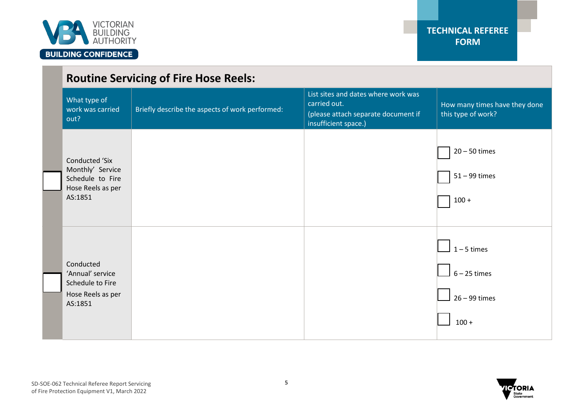

|                                                                                               | <b>Routine Servicing of Fire Hose Reels:</b>    |                                                                                                                    |                                                               |  |
|-----------------------------------------------------------------------------------------------|-------------------------------------------------|--------------------------------------------------------------------------------------------------------------------|---------------------------------------------------------------|--|
| What type of<br>work was carried<br>out?                                                      | Briefly describe the aspects of work performed: | List sites and dates where work was<br>carried out.<br>(please attach separate document if<br>insufficient space.) | How many times have they done<br>this type of work?           |  |
| <b>Conducted 'Six</b><br>Monthly' Service<br>Schedule to Fire<br>Hose Reels as per<br>AS:1851 |                                                 |                                                                                                                    | $20 - 50$ times<br>$51 - 99$ times<br>$100 +$                 |  |
| Conducted<br>'Annual' service<br>Schedule to Fire<br>Hose Reels as per<br>AS:1851             |                                                 |                                                                                                                    | $1 - 5$ times<br>$6 - 25$ times<br>$26 - 99$ times<br>$100 +$ |  |

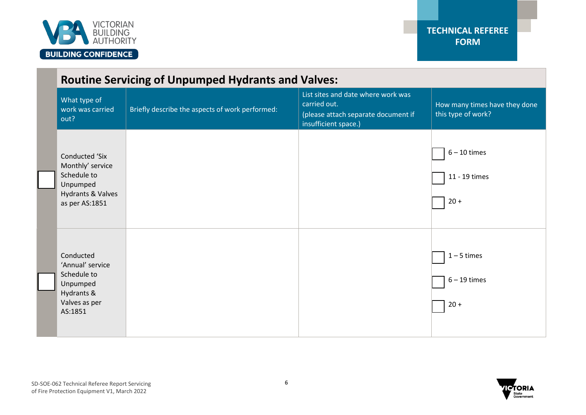

#### **Routine Servicing of Unpumped Hydrants and Valves:** What type of work was carried out? Briefly describe the aspects of work performed: List sites and date where work was carried out. (please attach separate document if insufficient space.) How many times have they done this type of work? Conducted 'Six Monthly' service Schedule to Unpumped Hydrants & Valves as per AS:1851 6 – 10 times 11 - 19 times 20 + Conducted 'Annual' service Schedule to Unpumped Hydrants & Valves as per AS:1851  $1 - 5$  times 6 – 19 times  $20 +$

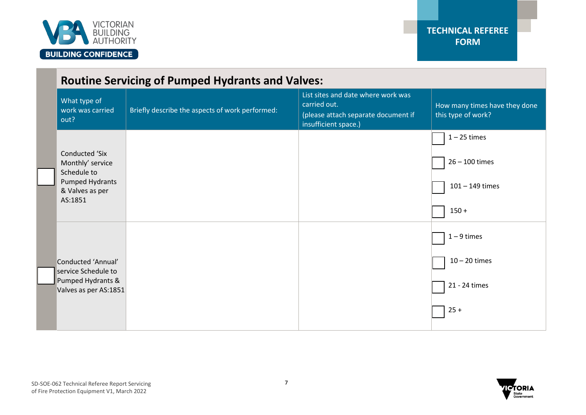

| <b>Routine Servicing of Pumped Hydrants and Valves:</b>  |                                                 |                                                                                                                   |                                                     |
|----------------------------------------------------------|-------------------------------------------------|-------------------------------------------------------------------------------------------------------------------|-----------------------------------------------------|
| What type of<br>work was carried<br>out?                 | Briefly describe the aspects of work performed: | List sites and date where work was<br>carried out.<br>(please attach separate document if<br>insufficient space.) | How many times have they done<br>this type of work? |
|                                                          |                                                 |                                                                                                                   | $1 - 25$ times                                      |
| <b>Conducted 'Six</b><br>Monthly' service<br>Schedule to |                                                 |                                                                                                                   | $26 - 100$ times                                    |
| Pumped Hydrants<br>& Valves as per                       |                                                 |                                                                                                                   | $101 - 149$ times                                   |
| AS:1851                                                  |                                                 |                                                                                                                   | $150 +$                                             |
|                                                          |                                                 |                                                                                                                   | $1 - 9$ times                                       |
| Conducted 'Annual'<br>service Schedule to                |                                                 |                                                                                                                   | $10 - 20$ times                                     |
| Pumped Hydrants &<br>Valves as per AS:1851               |                                                 |                                                                                                                   | 21 - 24 times                                       |
|                                                          |                                                 |                                                                                                                   | $25 +$                                              |

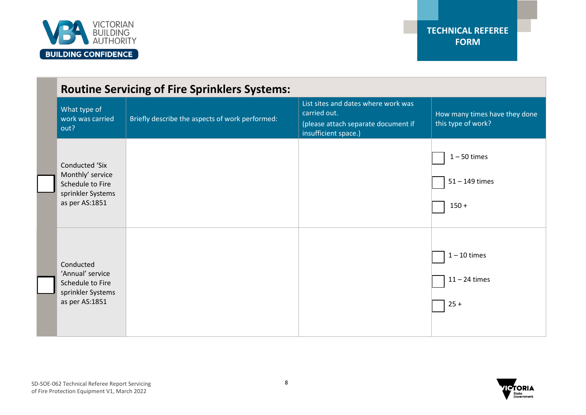

| <b>Routine Servicing of Fire Sprinklers Systems:</b>                                          |                                                 |  |                                                                                                                    |                                                     |
|-----------------------------------------------------------------------------------------------|-------------------------------------------------|--|--------------------------------------------------------------------------------------------------------------------|-----------------------------------------------------|
| What type of<br>work was carried<br>out?                                                      | Briefly describe the aspects of work performed: |  | List sites and dates where work was<br>carried out.<br>(please attach separate document if<br>insufficient space.) | How many times have they done<br>this type of work? |
| Conducted 'Six<br>Monthly' service<br>Schedule to Fire<br>sprinkler Systems<br>as per AS:1851 |                                                 |  |                                                                                                                    | $1 - 50$ times<br>$51 - 149$ times<br>$150 +$       |
| Conducted<br>'Annual' service<br>Schedule to Fire<br>sprinkler Systems<br>as per AS:1851      |                                                 |  |                                                                                                                    | $1 - 10$ times<br>$11 - 24$ times<br>$25 +$         |